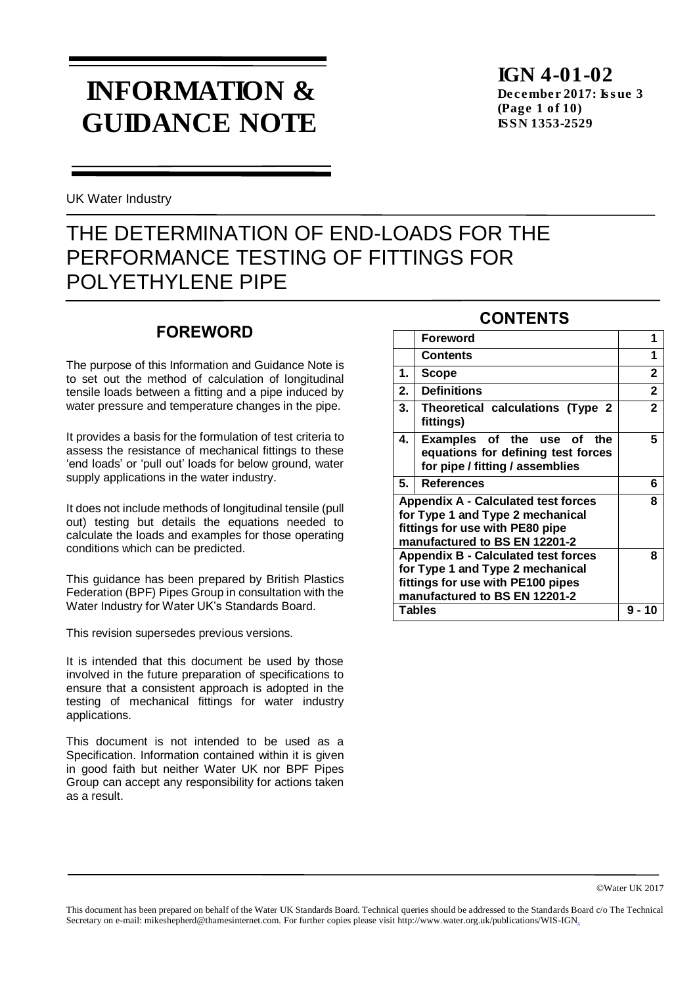# INFORMATION & GUIDANCE NOTE

IGN 4-01-02 December 2017: Issue 3 (Page 1 of 10) ISSN 1353-2529

UK Water Industry

## THE DETERMINATION OF END-LOADS FOR THE PERFORMANCE TESTING OF FITTINGS FOR POLYETHYLENE PIPE

### **FOREWORD**

The purpose of this Information and Guidance Note is to set out the method of calculation of longitudinal tensile loads between a fitting and a pipe induced by water pressure and temperature changes in the pipe.

It provides a basis for the formulation of test criteria to assess the resistance of mechanical fittings to these 'end loads' or 'pull out' loads for below ground, water supply applications in the water industry.

It does not include methods of longitudinal tensile (pull out) testing but details the equations needed to calculate the loads and examples for those operating conditions which can be predicted.

This guidance has been prepared by British Plastics Federation (BPF) Pipes Group in consultation with the Water Industry for Water UK's Standards Board.

This revision supersedes previous versions.

It is intended that this document be used by those involved in the future preparation of specifications to ensure that a consistent approach is adopted in the testing of mechanical fittings for water industry applications.

This document is not intended to be used as a Specification. Information contained within it is given in good faith but neither Water UK nor BPF Pipes Group can accept any responsibility for actions taken as a result.

### **CONTENTS**

|                                                                                                                                                      | <b>Foreword</b>                                                                                     |              |
|------------------------------------------------------------------------------------------------------------------------------------------------------|-----------------------------------------------------------------------------------------------------|--------------|
|                                                                                                                                                      | <b>Contents</b>                                                                                     | 1            |
| 1.                                                                                                                                                   | Scope                                                                                               | 2            |
| 2.                                                                                                                                                   | <b>Definitions</b>                                                                                  | 2            |
| 3.                                                                                                                                                   | Theoretical calculations (Type 2<br>fittings)                                                       | $\mathbf{2}$ |
| 4.                                                                                                                                                   | Examples of the use of the<br>equations for defining test forces<br>for pipe / fitting / assemblies | 5            |
| 5.                                                                                                                                                   | <b>References</b>                                                                                   | 6            |
| <b>Appendix A - Calculated test forces</b><br>for Type 1 and Type 2 mechanical<br>fittings for use with PE80 pipe<br>manufactured to BS EN 12201-2   | 8                                                                                                   |              |
| <b>Appendix B - Calculated test forces</b><br>for Type 1 and Type 2 mechanical<br>fittings for use with PE100 pipes<br>manufactured to BS EN 12201-2 | 8                                                                                                   |              |
| Tables                                                                                                                                               | 9 - 1                                                                                               |              |

This document has been prepared on behalf of the Water UK Standards Board. Technical queries should be addressed to the Standards Board c/o The Technical Secretary on e-mail: mikeshepherd@thamesinternet.com. For further copies please visit http://www.water.org.uk/publications/WIS-IGN.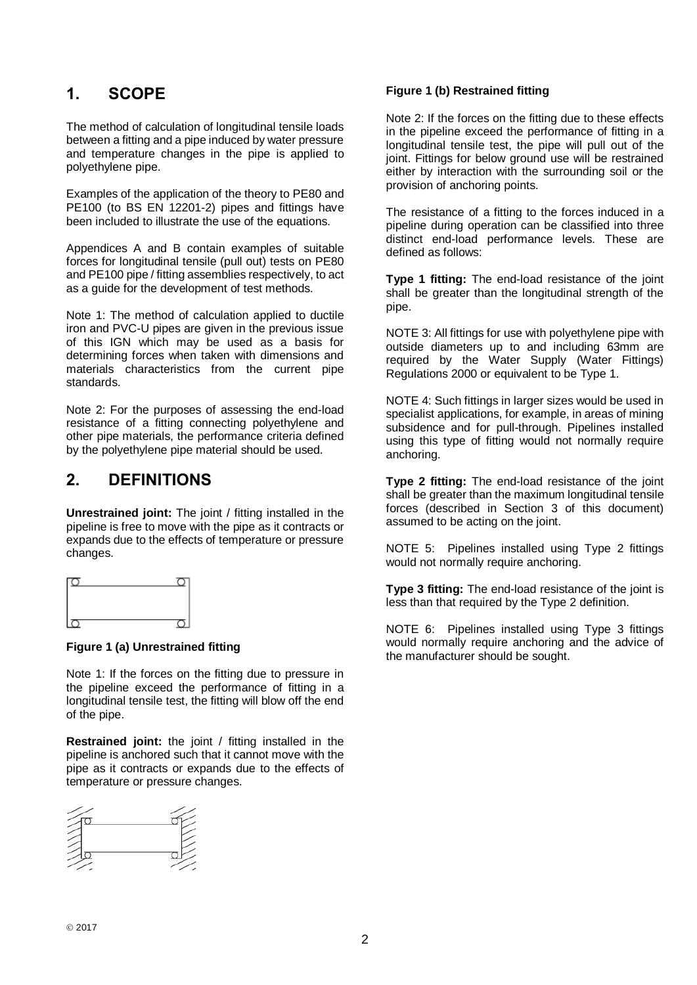### **1. SCOPE**

The method of calculation of longitudinal tensile loads between a fitting and a pipe induced by water pressure and temperature changes in the pipe is applied to polyethylene pipe.

Examples of the application of the theory to PE80 and PE100 (to BS EN 12201-2) pipes and fittings have been included to illustrate the use of the equations.

Appendices A and B contain examples of suitable forces for longitudinal tensile (pull out) tests on PE80 and PE100 pipe / fitting assemblies respectively, to act as a guide for the development of test methods.

Note 1: The method of calculation applied to ductile iron and PVC-U pipes are given in the previous issue of this IGN which may be used as a basis for determining forces when taken with dimensions and materials characteristics from the current pipe standards.

Note 2: For the purposes of assessing the end-load resistance of a fitting connecting polyethylene and other pipe materials, the performance criteria defined by the polyethylene pipe material should be used.

### **2. DEFINITIONS**

**Unrestrained joint:** The joint / fitting installed in the pipeline is free to move with the pipe as it contracts or expands due to the effects of temperature or pressure changes.



### **Figure 1 (a) Unrestrained fitting**

Note 1: If the forces on the fitting due to pressure in the pipeline exceed the performance of fitting in a longitudinal tensile test, the fitting will blow off the end of the pipe.

**Restrained joint:** the joint / fitting installed in the pipeline is anchored such that it cannot move with the pipe as it contracts or expands due to the effects of temperature or pressure changes.



#### **Figure 1 (b) Restrained fitting**

Note 2: If the forces on the fitting due to these effects in the pipeline exceed the performance of fitting in a longitudinal tensile test, the pipe will pull out of the joint. Fittings for below ground use will be restrained either by interaction with the surrounding soil or the provision of anchoring points.

The resistance of a fitting to the forces induced in a pipeline during operation can be classified into three distinct end-load performance levels. These are defined as follows:

**Type 1 fitting:** The end-load resistance of the joint shall be greater than the longitudinal strength of the pipe.

NOTE 3: All fittings for use with polyethylene pipe with outside diameters up to and including 63mm are required by the Water Supply (Water Fittings) Regulations 2000 or equivalent to be Type 1.

NOTE 4: Such fittings in larger sizes would be used in specialist applications, for example, in areas of mining subsidence and for pull-through. Pipelines installed using this type of fitting would not normally require anchoring.

**Type 2 fitting:** The end-load resistance of the joint shall be greater than the maximum longitudinal tensile forces (described in Section 3 of this document) assumed to be acting on the joint.

NOTE 5: Pipelines installed using Type 2 fittings would not normally require anchoring.

**Type 3 fitting:** The end-load resistance of the joint is less than that required by the Type 2 definition.

NOTE 6: Pipelines installed using Type 3 fittings would normally require anchoring and the advice of the manufacturer should be sought.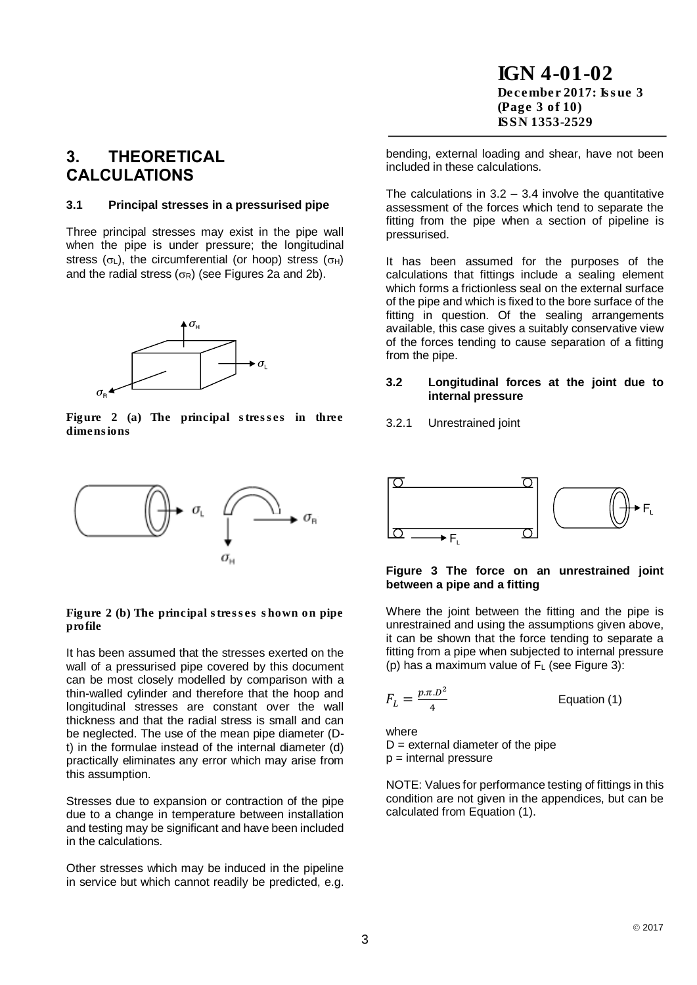IGN 4-01-02 December 2017: Issue 3 (Page 3 of 10) ISSN 1353-2529

### **3. THEORETICAL CALCULATIONS**

#### **3.1 Principal stresses in a pressurised pipe**

Three principal stresses may exist in the pipe wall when the pipe is under pressure; the longitudinal stress ( $\sigma$ <sub>L</sub>), the circumferential (or hoop) stress ( $\sigma$ <sub>H</sub>) and the radial stress ( $\sigma$ R) (see Figures 2a and 2b).



Figure 2 (a) The principal stresses in three dimensions



Figure 2 (b) The principal stresses shown on pipe profile

It has been assumed that the stresses exerted on the wall of a pressurised pipe covered by this document can be most closely modelled by comparison with a thin-walled cylinder and therefore that the hoop and longitudinal stresses are constant over the wall thickness and that the radial stress is small and can be neglected. The use of the mean pipe diameter (Dt) in the formulae instead of the internal diameter (d) practically eliminates any error which may arise from this assumption.

Stresses due to expansion or contraction of the pipe due to a change in temperature between installation and testing may be significant and have been included in the calculations.

Other stresses which may be induced in the pipeline in service but which cannot readily be predicted, e.g.

bending, external loading and shear, have not been included in these calculations.

The calculations in  $3.2 - 3.4$  involve the quantitative assessment of the forces which tend to separate the fitting from the pipe when a section of pipeline is pressurised.

It has been assumed for the purposes of the calculations that fittings include a sealing element which forms a frictionless seal on the external surface of the pipe and which is fixed to the bore surface of the fitting in question. Of the sealing arrangements available, this case gives a suitably conservative view of the forces tending to cause separation of a fitting from the pipe.

#### **3.2 Longitudinal forces at the joint due to internal pressure**

3.2.1 Unrestrained joint



#### **Figure 3 The force on an unrestrained joint between a pipe and a fitting**

Where the joint between the fitting and the pipe is unrestrained and using the assumptions given above, it can be shown that the force tending to separate a fitting from a pipe when subjected to internal pressure (p) has a maximum value of  $F<sub>L</sub>$  (see Figure 3):

$$
F_L = \frac{p \cdot \pi \cdot D^2}{4}
$$
 Equation (1)

where

 $D =$  external diameter of the pipe  $p =$  internal pressure

NOTE: Values for performance testing of fittings in this condition are not given in the appendices, but can be calculated from Equation (1).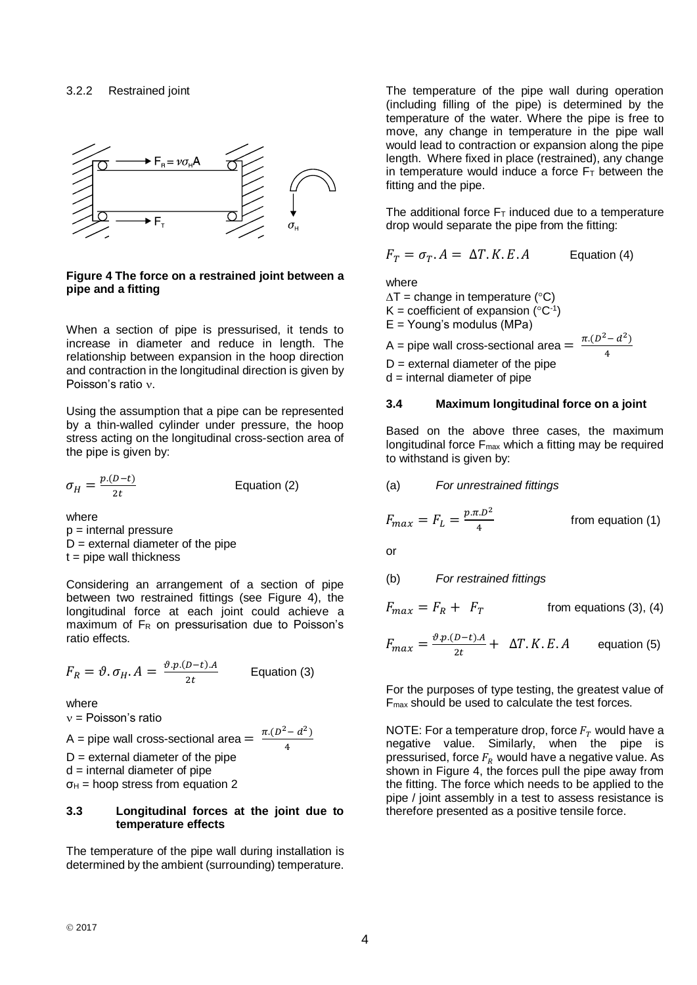

#### **Figure 4 The force on a restrained joint between a pipe and a fitting**

When a section of pipe is pressurised, it tends to increase in diameter and reduce in length. The relationship between expansion in the hoop direction and contraction in the longitudinal direction is given by Poisson's ratio v.

Using the assumption that a pipe can be represented by a thin-walled cylinder under pressure, the hoop stress acting on the longitudinal cross-section area of the pipe is given by:

$$
\sigma_H = \frac{p.(D-t)}{2t}
$$
 Equation (2)

where  $p =$  internal pressure  $D =$  external diameter of the pipe  $t =$  pipe wall thickness

Considering an arrangement of a section of pipe between two restrained fittings (see Figure 4), the longitudinal force at each joint could achieve a maximum of F<sup>R</sup> on pressurisation due to Poisson's ratio effects.

$$
F_R = \vartheta. \sigma_H. A = \frac{\vartheta. p. (D-t).A}{2t}
$$
 Equation (3)

where

 $v =$  Poisson's ratio

A = pipe wall cross-sectional area = 
$$
\frac{\pi (D^2 - d^2)}{4}
$$

 $D =$  external diameter of the pipe

 $d =$  internal diameter of pipe

 $\sigma_H$  = hoop stress from equation 2

#### **3.3 Longitudinal forces at the joint due to temperature effects**

4

The temperature of the pipe wall during installation is determined by the ambient (surrounding) temperature.

The temperature of the pipe wall during operation (including filling of the pipe) is determined by the temperature of the water. Where the pipe is free to move, any change in temperature in the pipe wall would lead to contraction or expansion along the pipe length. Where fixed in place (restrained), any change in temperature would induce a force  $F<sub>T</sub>$  between the fitting and the pipe.

The additional force  $F<sub>T</sub>$  induced due to a temperature drop would separate the pipe from the fitting:

$$
F_T = \sigma_T \cdot A = \Delta T \cdot K \cdot E \cdot A
$$
 Equation (4)

where

 $\Delta T$  = change in temperature (°C)

 $K =$  coefficient of expansion ( $^{\circ}C^{-1}$ )

 $E =$  Young's modulus (MPa)

A = pipe wall cross-sectional area =  $\frac{\pi.(D^2 - d^2)}{4}$ 4

 $D =$  external diameter of the pipe

 $d =$  internal diameter of pipe

#### **3.4 Maximum longitudinal force on a joint**

Based on the above three cases, the maximum longitudinal force  $F_{\text{max}}$  which a fitting may be required to withstand is given by:

(a) *For unrestrained fittings*

$$
F_{max} = F_L = \frac{p \pi D^2}{4}
$$
 from equation (1)

or

(b) *For restrained fittings*

$$
F_{max} = F_R + F_T
$$
 from equations (3), (4)

$$
F_{max} = \frac{\vartheta \cdot p \cdot (D - t) \cdot A}{2t} + \Delta T \cdot K \cdot E \cdot A
$$
 equation (5)

For the purposes of type testing, the greatest value of Fmax should be used to calculate the test forces.

NOTE: For a temperature drop, force  $F_T$  would have a negative value. Similarly, when the pipe is pressurised, force  $F_R$  would have a negative value. As shown in Figure 4, the forces pull the pipe away from the fitting. The force which needs to be applied to the pipe / joint assembly in a test to assess resistance is therefore presented as a positive tensile force.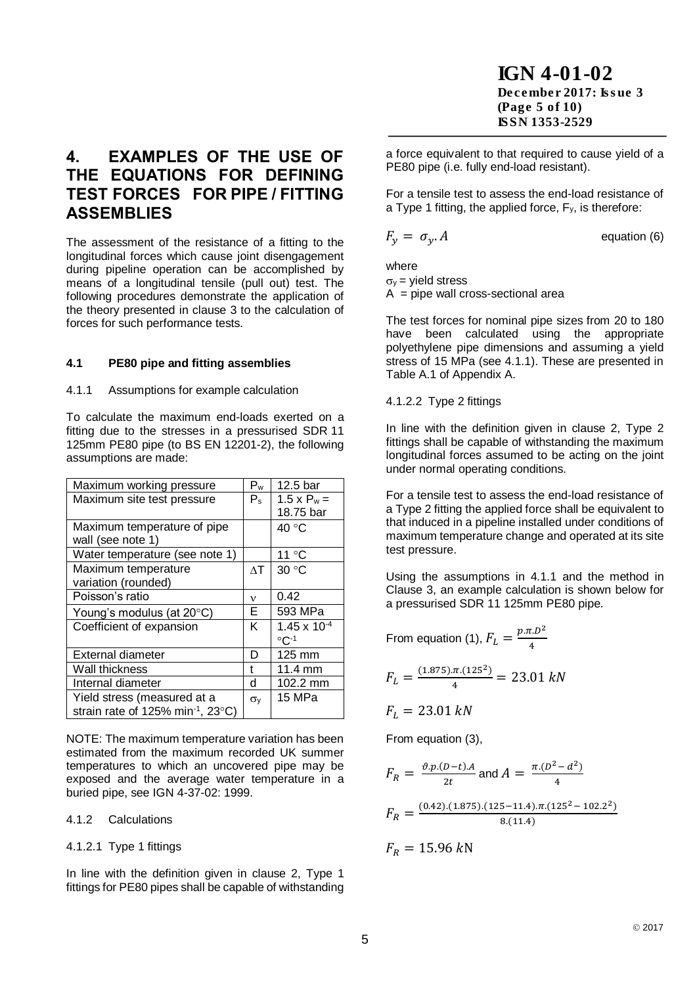IGN 4-01-02 December 2017: Issue 3 (Page 5 of 10) ISSN 1353-2529

### **4. EXAMPLES OF THE USE OF THE EQUATIONS FOR DEFINING TEST FORCES FOR PIPE / FITTING ASSEMBLIES**

The assessment of the resistance of a fitting to the longitudinal forces which cause joint disengagement during pipeline operation can be accomplished by means of a longitudinal tensile (pull out) test. The following procedures demonstrate the application of the theory presented in clause 3 to the calculation of forces for such performance tests.

### **4.1 PE80 pipe and fitting assemblies**

### 4.1.1 Assumptions for example calculation

To calculate the maximum end-loads exerted on a fitting due to the stresses in a pressurised SDR 11 125mm PE80 pipe (to BS EN 12201-2), the following assumptions are made:

| Maximum working pressure                      | $P_w$            | 12.5 bar              |
|-----------------------------------------------|------------------|-----------------------|
| Maximum site test pressure                    | $P_{s}$          | $1.5 \times P_w =$    |
|                                               |                  | 18.75 bar             |
| Maximum temperature of pipe                   |                  | 40 °C                 |
| wall (see note 1)                             |                  |                       |
| Water temperature (see note 1)                |                  | 11 °C                 |
| Maximum temperature                           | $\wedge$ T       | 30 °C                 |
| variation (rounded)                           |                  |                       |
| Poisson's ratio                               | ν                | 0.42                  |
| Young's modulus (at 20°C)                     | E.               | 593 MPa               |
| Coefficient of expansion                      | K                | $1.45 \times 10^{-4}$ |
|                                               |                  | $\circ$ C-1           |
| External diameter                             | D                | 125 mm                |
| Wall thickness                                | t                | 11.4 mm               |
| Internal diameter                             | d                | 102.2 mm              |
| Yield stress (measured at a                   | $\sigma_{\rm V}$ | 15 MPa                |
| strain rate of 125% min <sup>-1</sup> , 23°C) |                  |                       |

NOTE: The maximum temperature variation has been estimated from the maximum recorded UK summer temperatures to which an uncovered pipe may be exposed and the average water temperature in a buried pipe, see IGN 4-37-02: 1999.

4.1.2 Calculations

4.1.2.1 Type 1 fittings

In line with the definition given in clause 2, Type 1 fittings for PE80 pipes shall be capable of withstanding a force equivalent to that required to cause yield of a PE80 pipe (i.e. fully end-load resistant).

For a tensile test to assess the end-load resistance of a Type 1 fitting, the applied force,  $F_y$ , is therefore:

 $F_v = \sigma_v A$  equation (6)

where  $\sigma_v$  = vield stress

 $A =$  pipe wall cross-sectional area

The test forces for nominal pipe sizes from 20 to 180 have been calculated using the appropriate polyethylene pipe dimensions and assuming a yield stress of 15 MPa (see 4.1.1). These are presented in Table A.1 of Appendix A.

4.1.2.2 Type 2 fittings

In line with the definition given in clause 2, Type 2 fittings shall be capable of withstanding the maximum longitudinal forces assumed to be acting on the joint under normal operating conditions.

For a tensile test to assess the end-load resistance of a Type 2 fitting the applied force shall be equivalent to that induced in a pipeline installed under conditions of maximum temperature change and operated at its site test pressure.

Using the assumptions in 4.1.1 and the method in Clause 3, an example calculation is shown below for a pressurised SDR 11 125mm PE80 pipe.

From equation (1), 
$$
F_L = \frac{p \pi D^2}{4}
$$

$$
F_L = \frac{(1.875)\cdot \pi \cdot (125^2)}{4} = 23.01 \text{ kN}
$$

$$
F_L = 23.01 \; kN
$$

From equation (3),

$$
F_R = \frac{\vartheta \cdot p \cdot (D-t) \cdot A}{2t} \text{ and } A = \frac{\pi \cdot (D^2 - d^2)}{4}
$$
  

$$
F_R = \frac{(0.42) \cdot (1.875) \cdot (125 - 11.4) \cdot \pi \cdot (125^2 - 102.2^2)}{8 \cdot (11.4)}
$$
  

$$
F_R = 15.96 \text{ kN}
$$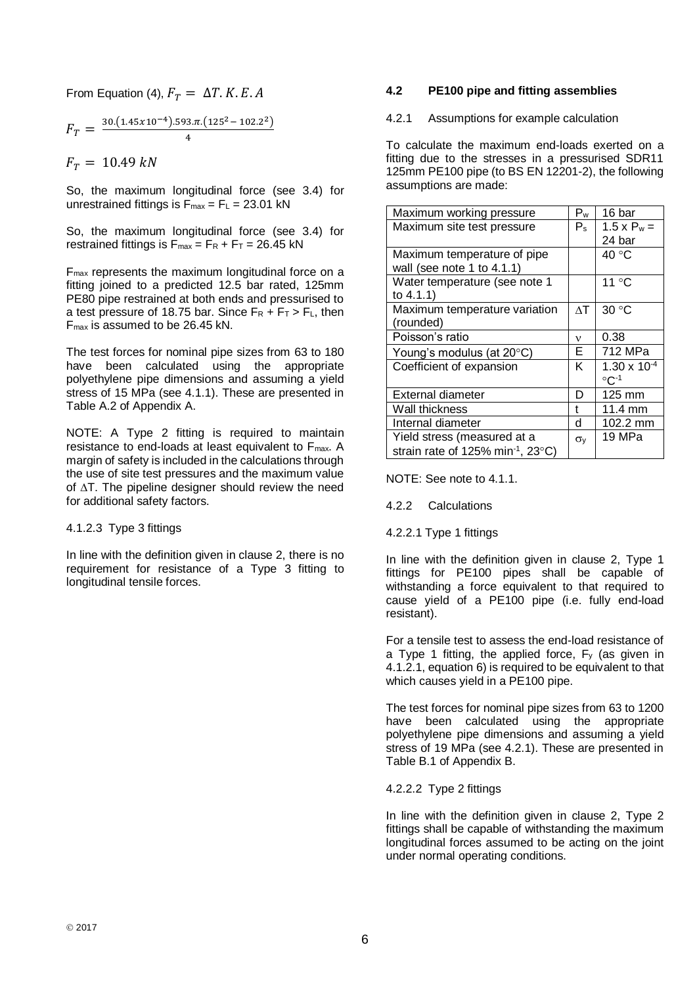From Equation (4),  $F_T = \Delta T$ . K. E. A

$$
F_T = \frac{30.(1.45 \times 10^{-4}).593 \pi.(125^2 - 102.2^2)}{4}
$$

 $F_T = 10.49 kN$ 

So, the maximum longitudinal force (see 3.4) for unrestrained fittings is  $F_{\text{max}} = F_L = 23.01$  kN

So, the maximum longitudinal force (see 3.4) for restrained fittings is  $F_{max} = F_R + F_T = 26.45$  kN

Fmax represents the maximum longitudinal force on a fitting joined to a predicted 12.5 bar rated, 125mm PE80 pipe restrained at both ends and pressurised to a test pressure of 18.75 bar. Since  $F_R + F_T > F_L$ , then Fmax is assumed to be 26.45 kN.

The test forces for nominal pipe sizes from 63 to 180 have been calculated using the appropriate polyethylene pipe dimensions and assuming a yield stress of 15 MPa (see 4.1.1). These are presented in Table A.2 of Appendix A.

NOTE: A Type 2 fitting is required to maintain resistance to end-loads at least equivalent to Fmax. A margin of safety is included in the calculations through the use of site test pressures and the maximum value of  $\Delta T$ . The pipeline designer should review the need for additional safety factors.

4.1.2.3 Type 3 fittings

In line with the definition given in clause 2, there is no requirement for resistance of a Type 3 fitting to longitudinal tensile forces.

#### **4.2 PE100 pipe and fitting assemblies**

4.2.1 Assumptions for example calculation

To calculate the maximum end-loads exerted on a fitting due to the stresses in a pressurised SDR11 125mm PE100 pipe (to BS EN 12201-2), the following assumptions are made:

| Maximum working pressure                      | Pw           | 16 bar                |
|-----------------------------------------------|--------------|-----------------------|
| Maximum site test pressure                    | $P_{\rm s}$  | $1.5 \times P_w =$    |
|                                               |              | 24 bar                |
| Maximum temperature of pipe                   |              | 40 °C                 |
| wall (see note 1 to $4.1.1$ )                 |              |                       |
| Water temperature (see note 1                 |              | 11 °C                 |
| to $4.1.1$ )                                  |              |                       |
| Maximum temperature variation                 | $\wedge$ T   | 30 °C                 |
| (rounded)                                     |              |                       |
| Poisson's ratio                               | $\mathbf v$  | 0.38                  |
| Young's modulus (at 20°C)                     | Е            | 712 MPa               |
| Coefficient of expansion                      | K            | $1.30 \times 10^{-4}$ |
|                                               |              | $\circ$ C-1           |
| External diameter                             | D            | 125 mm                |
| Wall thickness                                | t            | 11.4 mm               |
| Internal diameter                             | d.           | 102.2 mm              |
| Yield stress (measured at a                   | $\sigma_{V}$ | 19 MPa                |
| strain rate of 125% min <sup>-1</sup> , 23°C) |              |                       |

NOTE: See note to 4.1.1.

4.2.2 Calculations

4.2.2.1 Type 1 fittings

In line with the definition given in clause 2, Type 1 fittings for PE100 pipes shall be capable of withstanding a force equivalent to that required to cause yield of a PE100 pipe (i.e. fully end-load resistant).

For a tensile test to assess the end-load resistance of a Type 1 fitting, the applied force,  $F_y$  (as given in 4.1.2.1, equation 6) is required to be equivalent to that which causes yield in a PE100 pipe.

The test forces for nominal pipe sizes from 63 to 1200 have been calculated using the appropriate polyethylene pipe dimensions and assuming a yield stress of 19 MPa (see 4.2.1). These are presented in Table B.1 of Appendix B.

4.2.2.2 Type 2 fittings

In line with the definition given in clause 2, Type 2 fittings shall be capable of withstanding the maximum longitudinal forces assumed to be acting on the joint under normal operating conditions.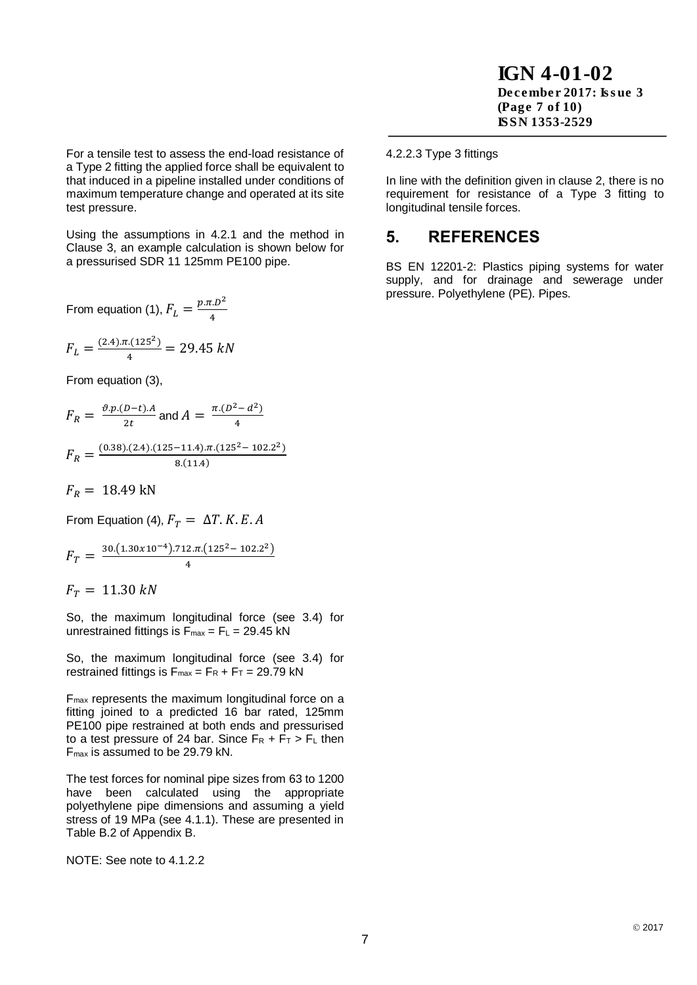IGN 4-01-02 December 2017: Issue 3 (Page 7 of 10) ISSN 1353-2529

For a tensile test to assess the end-load resistance of a Type 2 fitting the applied force shall be equivalent to that induced in a pipeline installed under conditions of maximum temperature change and operated at its site test pressure.

Using the assumptions in 4.2.1 and the method in Clause 3, an example calculation is shown below for a pressurised SDR 11 125mm PE100 pipe.

From equation (1),  $F_L = \frac{p \pi D^2}{4}$ 4

$$
F_L = \frac{(2.4)\cdot\pi \cdot (125^2)}{4} = 29.45 \text{ kN}
$$

From equation (3),

$$
F_R = \frac{\vartheta \cdot p \cdot (D-t) \cdot A}{2t}
$$
 and 
$$
A = \frac{\pi \cdot (D^2 - d^2)}{4}
$$

$$
F_R = \frac{(0.38)(2.4)(125-11.4)\pi(125^2-102.2^2)}{8(11.4)}
$$

 $F_R = 18.49 \text{ kN}$ 

From Equation (4),  $F_T = \Delta T$ . K. E. A

$$
F_T = \frac{30.(1.30 \times 10^{-4}).712 \pi.(125^2 - 102.2^2)}{4}
$$

 $F_T = 11.30 kN$ 

So, the maximum longitudinal force (see 3.4) for unrestrained fittings is  $F_{max} = F_L = 29.45$  kN

So, the maximum longitudinal force (see 3.4) for restrained fittings is  $F_{max} = F_R + F_T = 29.79$  kN

Fmax represents the maximum longitudinal force on a fitting joined to a predicted 16 bar rated, 125mm PE100 pipe restrained at both ends and pressurised to a test pressure of 24 bar. Since  $F_R + F_T > F_L$  then Fmax is assumed to be 29.79 kN.

The test forces for nominal pipe sizes from 63 to 1200 have been calculated using the appropriate polyethylene pipe dimensions and assuming a yield stress of 19 MPa (see 4.1.1). These are presented in Table B.2 of Appendix B.

NOTE: See note to 4.1.2.2

#### 4.2.2.3 Type 3 fittings

In line with the definition given in clause 2, there is no requirement for resistance of a Type 3 fitting to longitudinal tensile forces.

### **5. REFERENCES**

BS EN 12201-2: Plastics piping systems for water supply, and for drainage and sewerage under pressure. Polyethylene (PE). Pipes.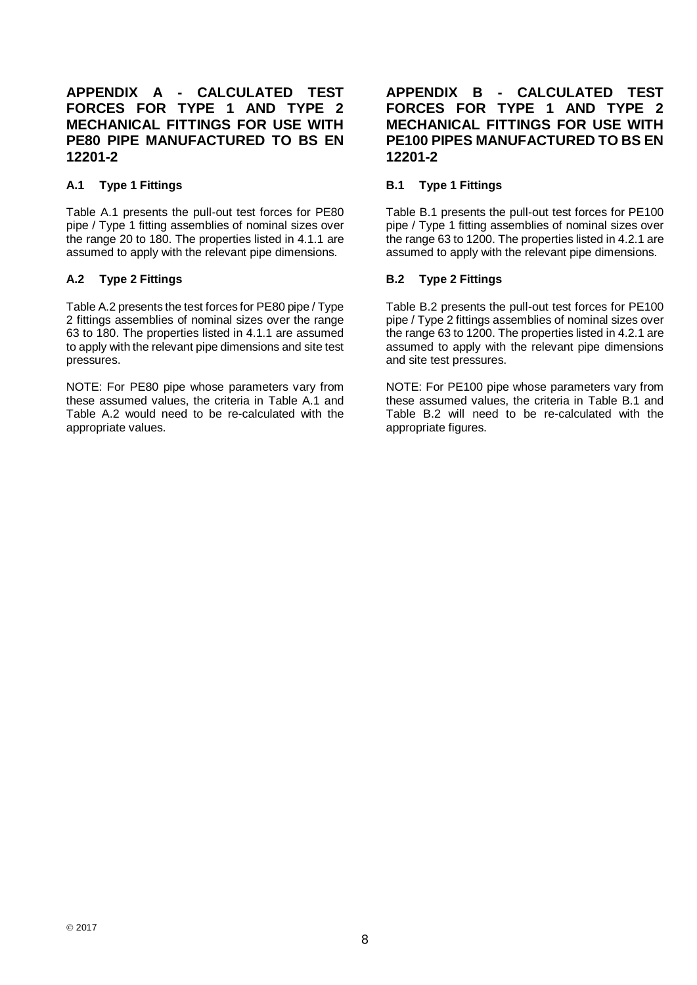### **APPENDIX A - CALCULATED TEST FORCES FOR TYPE 1 AND TYPE 2 MECHANICAL FITTINGS FOR USE WITH PE80 PIPE MANUFACTURED TO BS EN 12201-2**

### **A.1 Type 1 Fittings**

Table A.1 presents the pull-out test forces for PE80 pipe / Type 1 fitting assemblies of nominal sizes over the range 20 to 180. The properties listed in 4.1.1 are assumed to apply with the relevant pipe dimensions.

### **A.2 Type 2 Fittings**

Table A.2 presents the test forces for PE80 pipe / Type 2 fittings assemblies of nominal sizes over the range 63 to 180. The properties listed in 4.1.1 are assumed to apply with the relevant pipe dimensions and site test pressures.

NOTE: For PE80 pipe whose parameters vary from these assumed values, the criteria in Table A.1 and Table A.2 would need to be re-calculated with the appropriate values.

### **APPENDIX B - CALCULATED TEST FORCES FOR TYPE 1 AND TYPE 2 MECHANICAL FITTINGS FOR USE WITH PE100 PIPES MANUFACTURED TO BS EN 12201-2**

### **B.1 Type 1 Fittings**

Table B.1 presents the pull-out test forces for PE100 pipe / Type 1 fitting assemblies of nominal sizes over the range 63 to 1200. The properties listed in 4.2.1 are assumed to apply with the relevant pipe dimensions.

### **B.2 Type 2 Fittings**

Table B.2 presents the pull-out test forces for PE100 pipe / Type 2 fittings assemblies of nominal sizes over the range 63 to 1200. The properties listed in 4.2.1 are assumed to apply with the relevant pipe dimensions and site test pressures.

NOTE: For PE100 pipe whose parameters vary from these assumed values, the criteria in Table B.1 and Table B.2 will need to be re-calculated with the appropriate figures.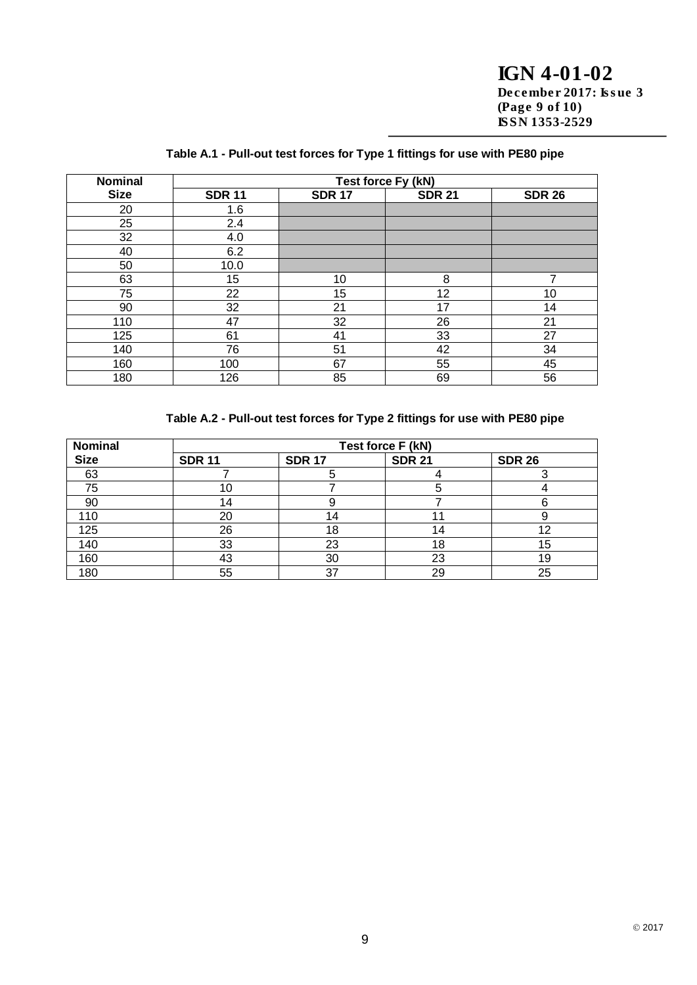IGN 4-01-02 December 2017: Issue 3 (Page 9 of 10) ISSN 1353-2529

| <b>Nominal</b> | Test force Fy (kN) |               |               |               |  |  |
|----------------|--------------------|---------------|---------------|---------------|--|--|
| <b>Size</b>    | <b>SDR 11</b>      | <b>SDR 17</b> | <b>SDR 21</b> | <b>SDR 26</b> |  |  |
| 20             | 1.6                |               |               |               |  |  |
| 25             | 2.4                |               |               |               |  |  |
| 32             | 4.0                |               |               |               |  |  |
| 40             | 6.2                |               |               |               |  |  |
| 50             | 10.0               |               |               |               |  |  |
| 63             | 15                 | 10            | 8             | ⇁             |  |  |
| 75             | 22                 | 15            | 12            | 10            |  |  |
| 90             | 32                 | 21            | 17            | 14            |  |  |
| 110            | 47                 | 32            | 26            | 21            |  |  |
| 125            | 61                 | 41            | 33            | 27            |  |  |
| 140            | 76                 | 51            | 42            | 34            |  |  |
| 160            | 100                | 67            | 55            | 45            |  |  |
| 180            | 126                | 85            | 69            | 56            |  |  |

### **Table A.1 - Pull-out test forces for Type 1 fittings for use with PE80 pipe**

### **Table A.2 - Pull-out test forces for Type 2 fittings for use with PE80 pipe**

| <b>Nominal</b> | Test force F (kN) |               |               |               |  |  |
|----------------|-------------------|---------------|---------------|---------------|--|--|
| <b>Size</b>    | <b>SDR 11</b>     | <b>SDR 17</b> | <b>SDR 21</b> | <b>SDR 26</b> |  |  |
| 63             |                   |               |               |               |  |  |
| 75             | 10                |               |               |               |  |  |
| 90             | 14                |               |               |               |  |  |
| 110            | 20                |               |               |               |  |  |
| 125            | 26                | 18            | 14            | റ             |  |  |
| 140            | 33                | 23            | 18            | 15            |  |  |
| 160            | 43                | 30            | 23            | 19            |  |  |
| 180            | 55                | 37            | 29            | 25            |  |  |